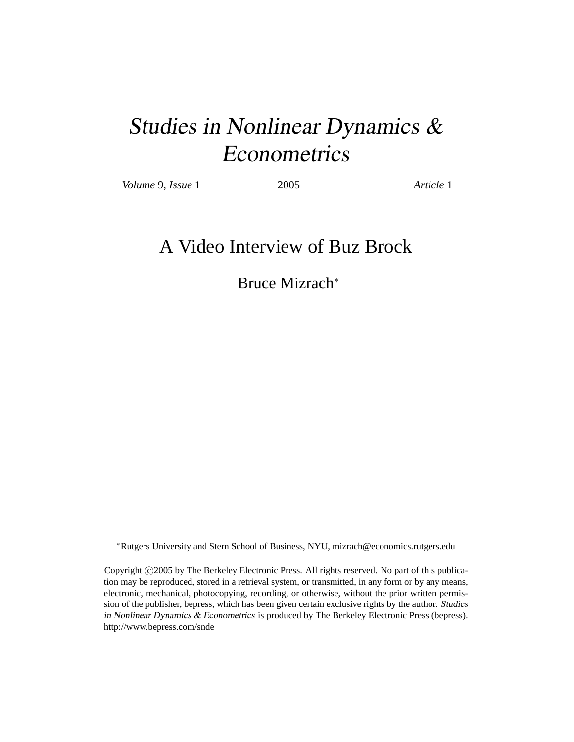# Studies in Nonlinear Dynamics & Econometrics

| Volume 9, Issue 1 | 2005 | Article 1 |
|-------------------|------|-----------|
|                   |      |           |

## A Video Interview of Buz Brock

Bruce Mizrach<sup>∗</sup>

<sup>∗</sup>Rutgers University and Stern School of Business, NYU, mizrach@economics.rutgers.edu

Copyright ©2005 by The Berkeley Electronic Press. All rights reserved. No part of this publication may be reproduced, stored in a retrieval system, or transmitted, in any form or by any means, electronic, mechanical, photocopying, recording, or otherwise, without the prior written permission of the publisher, bepress, which has been given certain exclusive rights by the author. Studies in Nonlinear Dynamics & Econometrics is produced by The Berkeley Electronic Press (bepress). http://www.bepress.com/snde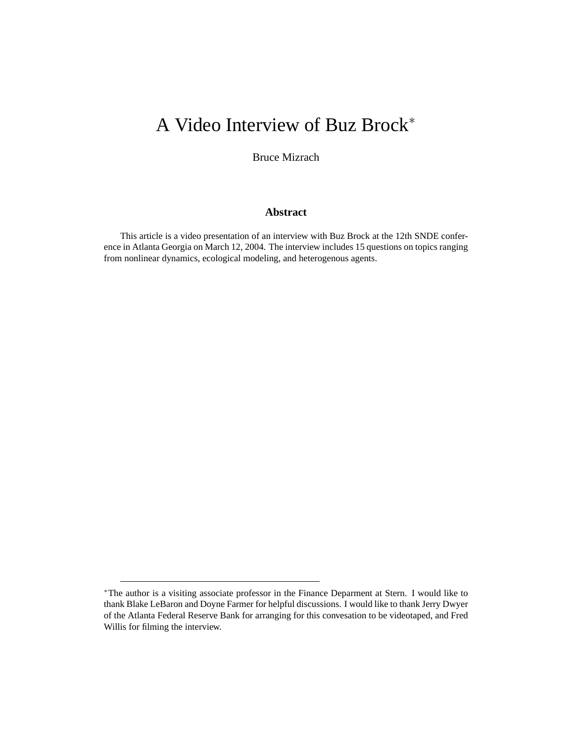# A Video Interview of Buz Brock<sup>∗</sup>

Bruce Mizrach

#### **Abstract**

This article is a video presentation of an interview with Buz Brock at the 12th SNDE conference in Atlanta Georgia on March 12, 2004. The interview includes 15 questions on topics ranging from nonlinear dynamics, ecological modeling, and heterogenous agents.

<sup>∗</sup>The author is a visiting associate professor in the Finance Deparment at Stern. I would like to thank Blake LeBaron and Doyne Farmer for helpful discussions. I would like to thank Jerry Dwyer of the Atlanta Federal Reserve Bank for arranging for this convesation to be videotaped, and Fred Willis for filming the interview.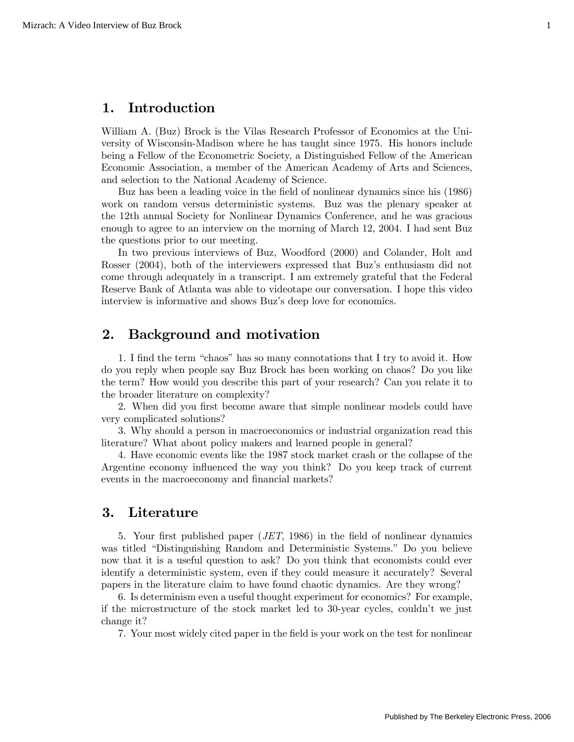### 1. Introduction

William A. (Buz) Brock is the Vilas Research Professor of Economics at the University of Wisconsin-Madison where he has taught since 1975. His honors include being a Fellow of the Econometric Society, a Distinguished Fellow of the American Economic Association, a member of the American Academy of Arts and Sciences, and selection to the National Academy of Science.

Buz has been a leading voice in the field of nonlinear dynamics since his (1986) work on random versus deterministic systems. Buz was the plenary speaker at the 12th annual Society for Nonlinear Dynamics Conference, and he was gracious enough to agree to an interview on the morning of March 12, 2004. I had sent Buz the questions prior to our meeting.

In two previous interviews of Buz, Woodford (2000) and Colander, Holt and Rosser (2004), both of the interviewers expressed that Buz's enthusiasm did not come through adequately in a transcript. I am extremely grateful that the Federal Reserve Bank of Atlanta was able to videotape our conversation. I hope this video interview is informative and shows Buz's deep love for economics.

### 2. Background and motivation

1. I find the term "chaos" has so many connotations that I try to avoid it. How do you reply when people say Buz Brock has been working on chaos? Do you like the term? How would you describe this part of your research? Can you relate it to the broader literature on complexity?

2. When did you first become aware that simple nonlinear models could have very complicated solutions?

3. Why should a person in macroeconomics or industrial organization read this literature? What about policy makers and learned people in general?

4. Have economic events like the 1987 stock market crash or the collapse of the Argentine economy influenced the way you think? Do you keep track of current events in the macroeconomy and financial markets?

### 3. Literature

5. Your first published paper (JET, 1986) in the field of nonlinear dynamics was titled "Distinguishing Random and Deterministic Systems." Do you believe now that it is a useful question to ask? Do you think that economists could ever identify a deterministic system, even if they could measure it accurately? Several papers in the literature claim to have found chaotic dynamics. Are they wrong?

6. Is determinism even a useful thought experiment for economics? For example, if the microstructure of the stock market led to 30-year cycles, couldn't we just change it?

7. Your most widely cited paper in the field is your work on the test for nonlinear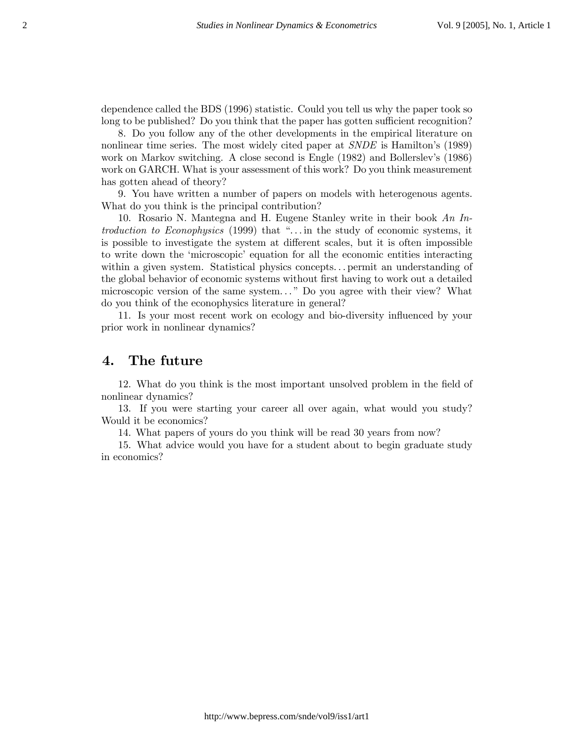dependence called the BDS (1996) statistic. Could you tell us why the paper took so long to be published? Do you think that the paper has gotten sufficient recognition?

8. Do you follow any of the other developments in the empirical literature on nonlinear time series. The most widely cited paper at *SNDE* is Hamilton's (1989) work on Markov switching. A close second is Engle (1982) and Bollerslev's (1986) work on GARCH. What is your assessment of this work? Do you think measurement has gotten ahead of theory?

9. You have written a number of papers on models with heterogenous agents. What do you think is the principal contribution?

10. Rosario N. Mantegna and H. Eugene Stanley write in their book An Introduction to Econophysics (1999) that ". . . in the study of economic systems, it is possible to investigate the system at different scales, but it is often impossible to write down the 'microscopic' equation for all the economic entities interacting within a given system. Statistical physics concepts. . . permit an understanding of the global behavior of economic systems without first having to work out a detailed microscopic version of the same system. . . " Do you agree with their view? What do you think of the econophysics literature in general?

11. Is your most recent work on ecology and bio-diversity influenced by your prior work in nonlinear dynamics?

### 4. The future

12. What do you think is the most important unsolved problem in the field of nonlinear dynamics?

13. If you were starting your career all over again, what would you study? Would it be economics?

14. What papers of yours do you think will be read 30 years from now?

15. What advice would you have for a student about to begin graduate study in economics?